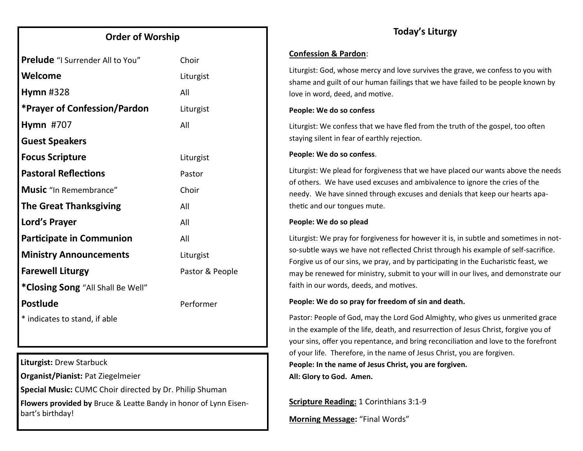### **Order of Worship**

| <b>Prelude</b> "I Surrender All to You" | Choir           |
|-----------------------------------------|-----------------|
| Welcome                                 | Liturgist       |
| Hymn $#328$                             | All             |
| <b>*Prayer of Confession/Pardon</b>     | Liturgist       |
| <b>Hymn #707</b>                        | All             |
| <b>Guest Speakers</b>                   |                 |
| <b>Focus Scripture</b>                  | Liturgist       |
| <b>Pastoral Reflections</b>             | Pastor          |
| <b>Music</b> "In Remembrance"           | Choir           |
| <b>The Great Thanksgiving</b>           | All             |
| Lord's Prayer                           | All             |
| <b>Participate in Communion</b>         | All             |
| <b>Ministry Announcements</b>           | Liturgist       |
| <b>Farewell Liturgy</b>                 | Pastor & People |
| *Closing Song "All Shall Be Well"       |                 |
| <b>Postlude</b>                         | Performer       |
| * indicates to stand, if able           |                 |

**Liturgist:** Drew Starbuck

**Organist/Pianist:** Pat Ziegelmeier

**Special Music:** CUMC Choir directed by Dr. Philip Shuman

**Flowers provided by** Bruce & Leatte Bandy in honor of Lynn Eisenbart's birthday!

#### **Confession & Pardon**:

Liturgist: God, whose mercy and love survives the grave, we confess to you with shame and guilt of our human failings that we have failed to be people known by love in word, deed, and motive.

#### **People: We do so confess**

Liturgist: We confess that we have fled from the truth of the gospel, too often staying silent in fear of earthly rejection.

#### **People: We do so confess**.

Liturgist: We plead for forgiveness that we have placed our wants above the needs of others. We have used excuses and ambivalence to ignore the cries of the needy. We have sinned through excuses and denials that keep our hearts apathetic and our tongues mute.

#### **People: We do so plead**

Liturgist: We pray for forgiveness for however it is, in subtle and sometimes in notso-subtle ways we have not reflected Christ through his example of self-sacrifice. Forgive us of our sins, we pray, and by participating in the Eucharistic feast, we may be renewed for ministry, submit to your will in our lives, and demonstrate our faith in our words, deeds, and motives.

#### **People: We do so pray for freedom of sin and death.**

Pastor: People of God, may the Lord God Almighty, who gives us unmerited grace in the example of the life, death, and resurrection of Jesus Christ, forgive you of your sins, offer you repentance, and bring reconciliation and love to the forefront of your life. Therefore, in the name of Jesus Christ, you are forgiven. **People: In the name of Jesus Christ, you are forgiven. All: Glory to God. Amen.**

**Scripture Reading:** 1 Corinthians 3:1-9

**Morning Message:** "Final Words"